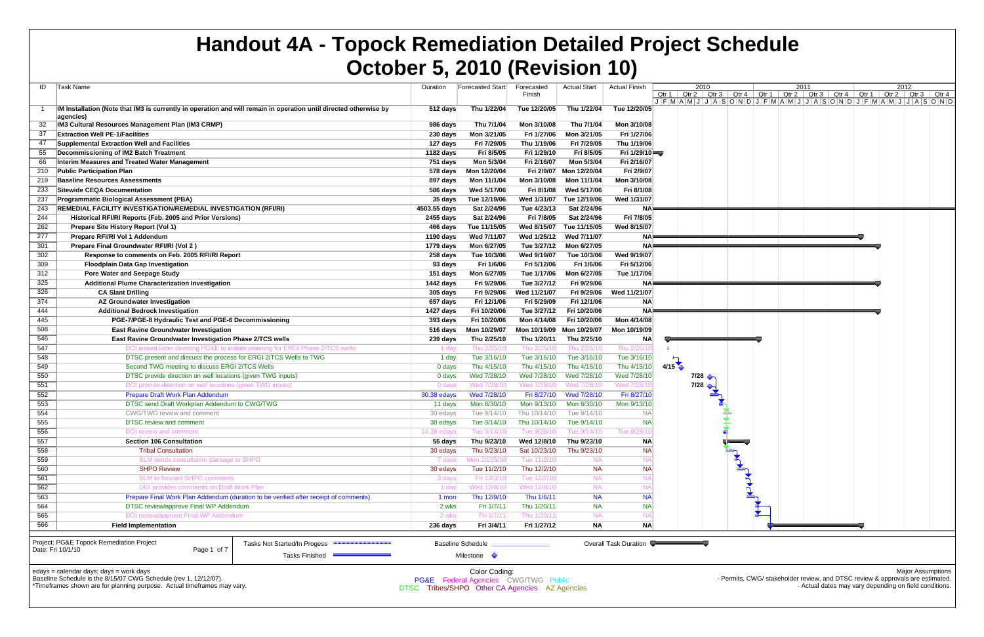| ID  | Task Name                                                                                                                        | Duration     | Forecasted Start                                      | Forecasted   | <b>Actual Start</b>       | <b>Actual Finish</b>  | 2010<br>2011<br>2012                                                                                                                          |
|-----|----------------------------------------------------------------------------------------------------------------------------------|--------------|-------------------------------------------------------|--------------|---------------------------|-----------------------|-----------------------------------------------------------------------------------------------------------------------------------------------|
|     |                                                                                                                                  |              |                                                       | Finish       |                           |                       | Qtr 1   Qtr 2   Qtr 3   Qtr 4   Qtr 1   Qtr 2   Qtr 3   Qtr 4   Qtr 1   Qtr 2   Qtr 3   Qtr 4<br>JFMAMJJJASONDJFMAMJJJASONDJFMAMJJFGAMJJJASON |
|     | IM Installation (Note that IM3 is currently in operation and will remain in operation until directed otherwise by                | 512 days     | Thu 1/22/04                                           | Tue 12/20/05 | Thu 1/22/04               | Tue 12/20/05          |                                                                                                                                               |
|     | agencies)                                                                                                                        |              |                                                       |              |                           |                       |                                                                                                                                               |
|     | IM3 Cultural Resources Management Plan (IM3 CRMP)                                                                                | 986 days     | Thu 7/1/04                                            | Mon 3/10/08  | Thu 7/1/04                | Mon 3/10/08           |                                                                                                                                               |
| 37  | <b>Extraction Well PE-1/Facilities</b>                                                                                           | 230 days     | Mon 3/21/05                                           | Fri 1/27/06  | Mon 3/21/05               | Fri 1/27/06           |                                                                                                                                               |
| 47  | Supplemental Extraction Well and Facilities                                                                                      | 127 days     | Fri 7/29/05                                           | Thu 1/19/06  | Fri 7/29/05               | Thu 1/19/06           |                                                                                                                                               |
| 55  | Decommissioning of IM2 Batch Treatment                                                                                           | 1182 days    | Fri 8/5/05                                            | Fri 1/29/10  | Fri 8/5/05                | Fri 1/29/10           |                                                                                                                                               |
| 66  | Interim Measures and Treated Water Management                                                                                    | 751 days     | Mon 5/3/04                                            | Fri 2/16/07  | Mon 5/3/04                | Fri 2/16/07           |                                                                                                                                               |
| 210 | <b>Public Participation Plan</b>                                                                                                 | 578 days     | Mon 12/20/04                                          | Fri 2/9/07   | Mon 12/20/04              | Fri 2/9/07            |                                                                                                                                               |
| 219 | <b>Baseline Resources Assessments</b>                                                                                            | 897 days     | Mon 11/1/04                                           | Mon 3/10/08  | Mon 11/1/04               | Mon 3/10/08           |                                                                                                                                               |
| 233 | Sitewide CEQA Documentation                                                                                                      | 586 days     | Wed 5/17/06                                           | Fri 8/1/08   | Wed 5/17/06               | Fri 8/1/08            |                                                                                                                                               |
| 237 | <b>Programmatic Biological Assessment (PBA)</b>                                                                                  | 35 days      | Tue 12/19/06                                          | Wed 1/31/07  | Tue 12/19/06              | Wed 1/31/07           |                                                                                                                                               |
| 243 | <b>REMEDIAL FACILITY INVESTIGATION/REMEDIAL INVESTIGATION (RFI/RI)</b>                                                           | 4503.55 days | Sat 2/24/96                                           | Tue 4/23/13  | Sat 2/24/96               | ΝA                    |                                                                                                                                               |
| 244 | Historical RFI/RI Reports (Feb. 2005 and Prior Versions)                                                                         | 2455 days    | Sat 2/24/96                                           | Fri 7/8/05   | Sat 2/24/96               | Fri 7/8/05            |                                                                                                                                               |
| 262 | Prepare Site History Report (Vol 1)                                                                                              | 466 days     | Tue 11/15/05                                          | Wed 8/15/07  | Tue 11/15/05              | Wed 8/15/07           |                                                                                                                                               |
| 277 | Prepare RFI/RI Vol 1 Addendum                                                                                                    | 1190 days    | Wed 7/11/07                                           | Wed 1/25/12  | Wed 7/11/07               | <b>NA</b>             | 医心脏 医心脏 医心脏 医心脏 医心脏病                                                                                                                          |
| 301 | Prepare Final Groundwater RFI/RI (Vol 2)                                                                                         | 1779 days    | Mon 6/27/05                                           | Tue 3/27/12  | Mon 6/27/05               | <b>NA</b>             |                                                                                                                                               |
| 302 | Response to comments on Feb. 2005 RFI/RI Report                                                                                  | 258 days     | Tue 10/3/06                                           | Wed 9/19/07  | Tue 10/3/06               | Wed 9/19/07           |                                                                                                                                               |
| 309 | <b>Floodplain Data Gap Investigation</b>                                                                                         | 93 days      | Fri 1/6/06                                            | Fri 5/12/06  | Fri 1/6/06                | Fri 5/12/06           |                                                                                                                                               |
| 312 | Pore Water and Seepage Study                                                                                                     | 151 days     | Mon 6/27/05                                           | Tue 1/17/06  | Mon 6/27/05               | Tue 1/17/06           |                                                                                                                                               |
| 325 | <b>Additional Plume Characterization Investigation</b>                                                                           | 1442 days    | Fri 9/29/06                                           | Tue 3/27/12  | Fri 9/29/06               | ΝA                    |                                                                                                                                               |
| 326 | <b>CA Slant Drilling</b>                                                                                                         | 305 days     | Fri 9/29/06                                           | Wed 11/21/07 | Fri 9/29/06               | Wed 11/21/07          |                                                                                                                                               |
| 374 | <b>AZ Groundwater Investigation</b>                                                                                              | 657 days     | Fri 12/1/06                                           | Fri 5/29/09  | Fri 12/1/06               | <b>NA</b>             |                                                                                                                                               |
| 444 | <b>Additional Bedrock Investigation</b>                                                                                          | 1427 days    | Fri 10/20/06                                          | Tue 3/27/12  | Fri 10/20/06              | <b>NA</b>             |                                                                                                                                               |
| 445 | PGE-7/PGE-8 Hydraulic Test and PGE-6 Decommissioning                                                                             | 393 days     | Fri 10/20/06                                          | Mon 4/14/08  | Fri 10/20/06              | Mon 4/14/08           |                                                                                                                                               |
| 508 | <b>East Ravine Groundwater Investigation</b>                                                                                     | 516 days     | Mon 10/29/07                                          |              | Mon 10/19/09 Mon 10/29/07 | Mon 10/19/09          |                                                                                                                                               |
| 546 | <b>East Ravine Groundwater Investigation Phase 2/TCS wells</b>                                                                   | 239 days     | Thu 2/25/10                                           | Thu 1/20/11  | Thu 2/25/10               | <b>NA</b>             |                                                                                                                                               |
| 547 | DOI issued letter directing PG&E to initiate planning for ERGI Phase 2/TCS wells                                                 | 1 day        | Thu 2/25/1                                            | Thu 2/25/    | Thu 2/25/1                | Thu 2/25/             |                                                                                                                                               |
| 548 | DTSC present and discuss the process for ERGI 2/TCS Wells to TWG                                                                 | 1 day        | Tue 3/16/10                                           | Tue 3/16/10  | Tue 3/16/10               | Tue 3/16/10           |                                                                                                                                               |
| 549 | Second TWG meeting to discuss ERGI 2/TCS Wells                                                                                   | 0 days       | Thu 4/15/10                                           | Thu 4/15/10  | Thu 4/15/10               | Thu 4/15/10           | 4/15                                                                                                                                          |
| 550 | DTSC provide direction on well locations (given TWG inputs)                                                                      | 0 days       | Wed 7/28/10                                           | Wed 7/28/10  | Wed 7/28/10               | Wed 7/28/10           | $7/28$ $\leftrightarrow$                                                                                                                      |
| 551 | DOI provide direction on well locations (given TWG inputs)                                                                       | 0 day        | Wed 7/28/10                                           | Wed 7/28/1   | Wed 7/28/1                | Wed 7/28/1            | 7/28                                                                                                                                          |
| 552 | Prepare Draft Work Plan Addendum                                                                                                 | 30.38 edays  | Wed 7/28/10                                           | Fri 8/27/10  | Wed 7/28/10               | Fri 8/27/10           |                                                                                                                                               |
| 553 | DTSC send Draft Workplan Addendum to CWG/TWG                                                                                     | 11 days      | Mon 8/30/10                                           | Mon 9/13/10  | Mon 8/30/10               | Mon 9/13/10           |                                                                                                                                               |
| 554 | CWG/TWG review and comment                                                                                                       | 30 edays     | Tue 9/14/10                                           | Thu 10/14/10 | Tue 9/14/10               | N.A                   |                                                                                                                                               |
| 555 | <b>DTSC</b> review and comment                                                                                                   | 30 edays     | Tue 9/14/10                                           | Thu 10/14/10 | Tue 9/14/10               | <b>NA</b>             |                                                                                                                                               |
| 556 | DOI review and comment                                                                                                           | 14.38 eday   | Tue 9/14/1                                            | Tue 9/28/1   | Tue $9/14/$               | Tue 9/2               |                                                                                                                                               |
| 557 | <b>Section 106 Consultation</b>                                                                                                  | 55 days      | Thu 9/23/10                                           | Wed 12/8/10  | Thu 9/23/10               | <b>NA</b>             |                                                                                                                                               |
| 558 | <b>Tribal Consultation</b>                                                                                                       | 30 edays     | Thu 9/23/10                                           | Sat 10/23/10 | Thu 9/23/10               | <b>NA</b>             |                                                                                                                                               |
| 559 | BLM sends consultation package to SHPO                                                                                           | 7 days       | Mon 10/25/10                                          | Tue 11/2/10  |                           |                       |                                                                                                                                               |
| 560 | <b>SHPO Review</b>                                                                                                               | 30 edays     | Tue 11/2/10                                           | Thu 12/2/10  | <b>NA</b>                 | <b>NA</b>             |                                                                                                                                               |
| 561 | <b>BLM to forward SHPO comments</b>                                                                                              | 3 days       | Fri 12/3/10                                           | Tue 12/7/1   | <b>NA</b>                 |                       |                                                                                                                                               |
| 562 | DOI provides comments on Draft Work Plan                                                                                         | 1 day        | Wed 12/8/10                                           | Wed 12/8/1   | <b>NA</b>                 |                       |                                                                                                                                               |
| 563 | Prepare Final Work Plan Addendum (duration to be verified after receipt of comments)                                             | 1 mon        | Thu 12/9/10                                           | Thu 1/6/11   | <b>NA</b>                 | <b>NA</b>             |                                                                                                                                               |
| 564 | DTSC review/approve Final WP Addendum                                                                                            | 2 wks        | Fri 1/7/11                                            | Thu 1/20/11  | <b>NA</b>                 | <b>NA</b>             |                                                                                                                                               |
| 565 | DOI review/approve Final WP Addendum                                                                                             | 2 wks        | Fri 1/7/11                                            | Thu 1/20/1   | <b>NA</b>                 |                       |                                                                                                                                               |
| 566 | <b>Field Implementation</b>                                                                                                      | 236 days     | Fri 3/4/11                                            | Fri 1/27/12  | <b>NA</b>                 | <b>NA</b>             |                                                                                                                                               |
|     | Project: PG&E Topock Remediation Project<br>Tasks Not Started/In Progess<br>Date: Fri 10/1/10<br>Page 1 of 7<br>Tasks Finished - |              | <b>Baseline Schedule</b><br>Milestone $\Diamond$      |              |                           | Overall Task Duration |                                                                                                                                               |
|     | edays = calendar days; days = work days<br>Baseline Schedule is the 8/15/07 CWG Schedule (rev 1, 12/12/07).                      |              | Color Coding:<br>PG&E Federal Agencies CWG/TWG Public |              |                           |                       | <b>Major Assumptions</b><br>- Permits, CWG/ stakeholder review, and DTSC review & approvals are estimated.                                    |

\*Timeframes shown are for planning purpose. Actual timeframes may vary.

- Actual dates may vary depending on field conditions.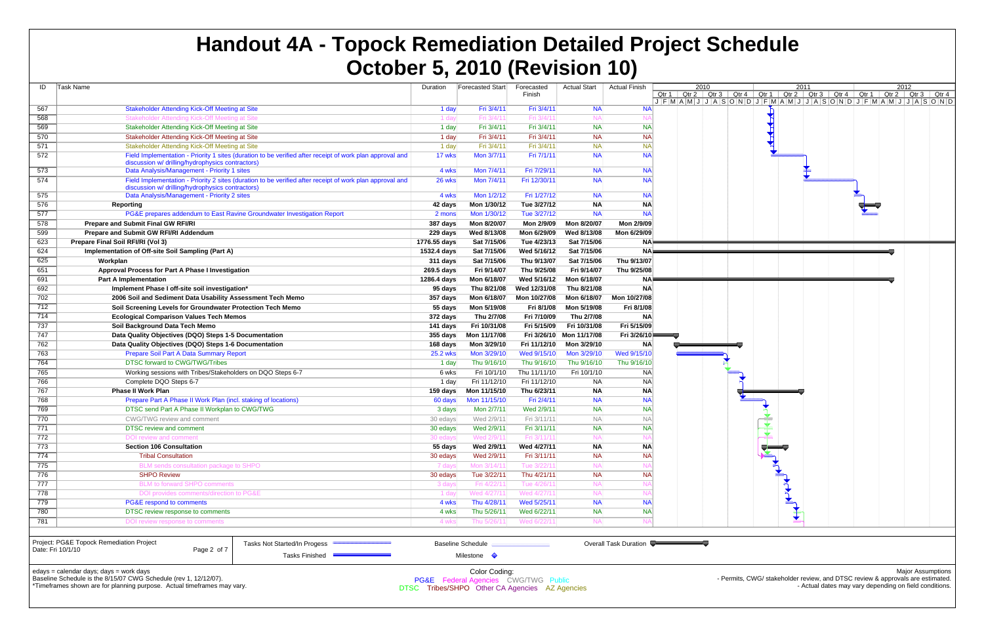| ID  | <b>Task Name</b>                                                      |                                                                                                          | Duration     | <b>Forecasted Start</b>              | Forecasted<br>Finish | <b>Actual Start</b> | <b>Actual Finish</b>  | 2010<br>Qtr 2 $\int$ Qtr 3<br>Qtr 1 |
|-----|-----------------------------------------------------------------------|----------------------------------------------------------------------------------------------------------|--------------|--------------------------------------|----------------------|---------------------|-----------------------|-------------------------------------|
|     |                                                                       |                                                                                                          |              |                                      |                      |                     |                       | $J$ $F$ $M$ $A$ $M$ $J$ $J$ $A$ $S$ |
| 567 | Stakeholder Attending Kick-Off Meeting at Site                        |                                                                                                          | 1 day        | Fri 3/4/11                           | Fri 3/4/11           | <b>NA</b>           | <b>NA</b>             |                                     |
| 568 | Stakeholder Attending Kick-Off Meeting at Site                        |                                                                                                          | 1 day        | Fri 3/4/11                           | Fri 3/4/11           | <b>NA</b>           | N/                    |                                     |
| 569 | Stakeholder Attending Kick-Off Meeting at Site                        |                                                                                                          | 1 day        | Fri 3/4/11                           | Fri 3/4/11           | <b>NA</b>           | <b>NA</b>             |                                     |
| 570 | Stakeholder Attending Kick-Off Meeting at Site                        |                                                                                                          | 1 day        | Fri 3/4/11                           | Fri 3/4/11           | <b>NA</b>           | <b>NA</b>             |                                     |
| 571 | Stakeholder Attending Kick-Off Meeting at Site                        |                                                                                                          | 1 day        | Fri 3/4/11                           | Fri 3/4/11           | <b>NA</b>           | $N_A$                 |                                     |
| 572 |                                                                       | Field Implementation - Priority 1 sites (duration to be verified after receipt of work plan approval and | 17 wks       | Mon 3/7/11                           | Fri 7/1/11           | <b>NA</b>           | <b>NA</b>             |                                     |
|     | discussion w/ drilling/hydrophysics contractors)                      |                                                                                                          |              |                                      |                      |                     |                       |                                     |
| 573 | Data Analysis/Management - Priority 1 sites                           |                                                                                                          | 4 wks        | Mon 7/4/11                           | Fri 7/29/11          | <b>NA</b>           | <b>NA</b>             |                                     |
| 574 | discussion w/ drilling/hydrophysics contractors)                      | Field Implementation - Priority 2 sites (duration to be verified after receipt of work plan approval and | 26 wks       | Mon 7/4/11                           | Fri 12/30/11         | <b>NA</b>           | <b>NA</b>             |                                     |
| 575 | Data Analysis/Management - Priority 2 sites                           |                                                                                                          | 4 wks        | Mon 1/2/12                           | Fri 1/27/12          | <b>NA</b>           | <b>NA</b>             |                                     |
| 576 | Reporting                                                             |                                                                                                          | 42 days      | Mon 1/30/12                          | Tue 3/27/12          | <b>NA</b>           | <b>NA</b>             |                                     |
| 577 |                                                                       | PG&E prepares addendum to East Ravine Groundwater Investigation Report                                   | 2 mons       | Mon 1/30/12                          | Tue 3/27/12          | <b>NA</b>           | <b>NA</b>             |                                     |
| 578 | <b>Prepare and Submit Final GW RFI/RI</b>                             |                                                                                                          | 387 days     | Mon 8/20/07                          | Mon 2/9/09           | Mon 8/20/07         | Mon 2/9/09            |                                     |
| 599 | Prepare and Submit GW RFI/RI Addendum                                 |                                                                                                          | 229 days     | Wed 8/13/08                          | Mon 6/29/09          | Wed 8/13/08         | Mon 6/29/09           |                                     |
| 623 | Prepare Final Soil RFI/RI (Vol 3)                                     |                                                                                                          | 1776.55 days | Sat 7/15/06                          | Tue 4/23/13          | Sat 7/15/06         | <b>NA</b>             |                                     |
| 624 | Implementation of Off-site Soil Sampling (Part A)                     |                                                                                                          | 1532.4 days  | Sat 7/15/06                          | Wed 5/16/12          | Sat 7/15/06         | <b>NA</b>             |                                     |
| 625 | Workplan                                                              |                                                                                                          | 311 days     | Sat 7/15/06                          | Thu 9/13/07          | Sat 7/15/06         | Thu 9/13/07           |                                     |
| 651 | Approval Process for Part A Phase I Investigation                     |                                                                                                          | 269.5 days   | Fri 9/14/07                          | Thu 9/25/08          | Fri 9/14/07         | Thu 9/25/08           |                                     |
| 691 | <b>Part A Implementation</b>                                          |                                                                                                          | 1286.4 days  | Mon 6/18/07                          | Wed 5/16/12          | Mon 6/18/07         | <b>NA</b>             |                                     |
| 692 | Implement Phase I off-site soil investigation*                        |                                                                                                          | 95 days      | Thu 8/21/08                          | Wed 12/31/08         | Thu 8/21/08         | <b>NA</b>             |                                     |
| 702 | 2006 Soil and Sediment Data Usability Assessment Tech Memo            |                                                                                                          | 357 days     | Mon 6/18/07                          | Mon 10/27/08         | Mon 6/18/07         | Mon 10/27/08          |                                     |
| 712 | Soil Screening Levels for Groundwater Protection Tech Memo            |                                                                                                          | 55 days      | Mon 5/19/08                          | Fri 8/1/08           | Mon 5/19/08         | Fri 8/1/08            |                                     |
| 714 | <b>Ecological Comparison Values Tech Memos</b>                        |                                                                                                          | 372 days     | Thu 2/7/08                           | Fri 7/10/09          | Thu 2/7/08          | <b>NA</b>             |                                     |
| 737 | Soil Background Data Tech Memo                                        |                                                                                                          | 141 days     | Fri 10/31/08                         | Fri 5/15/09          | Fri 10/31/08        | Fri 5/15/09           |                                     |
| 747 | Data Quality Objectives (DQO) Steps 1-5 Documentation                 |                                                                                                          | 355 days     | Mon 11/17/08                         | Fri 3/26/10          | Mon 11/17/08        | Fri 3/26/10           |                                     |
| 762 | Data Quality Objectives (DQO) Steps 1-6 Documentation                 |                                                                                                          | 168 days     | Mon 3/29/10                          | Fri 11/12/10         | Mon 3/29/10         | <b>NA</b>             |                                     |
| 763 | Prepare Soil Part A Data Summary Report                               |                                                                                                          | 25.2 wks     | Mon 3/29/10                          | Wed 9/15/10          | Mon 3/29/10         | Wed 9/15/10           |                                     |
| 764 | DTSC forward to CWG/TWG/Tribes                                        |                                                                                                          | 1 day        | Thu 9/16/10                          | Thu 9/16/10          | Thu 9/16/10         | Thu 9/16/10           |                                     |
| 765 | Working sessions with Tribes/Stakeholders on DQO Steps 6-7            |                                                                                                          | 6 wks        | Fri 10/1/10                          | Thu 11/11/10         | Fri 10/1/10         | <b>NA</b>             |                                     |
| 766 | Complete DQO Steps 6-7                                                |                                                                                                          | 1 day        | Fri 11/12/10                         | Fri 11/12/10         | <b>NA</b>           | <b>NA</b>             |                                     |
| 767 | <b>Phase II Work Plan</b>                                             |                                                                                                          | 159 days     | Mon 11/15/10                         | Thu 6/23/11          | <b>NA</b>           | <b>NA</b>             |                                     |
| 768 | Prepare Part A Phase II Work Plan (incl. staking of locations)        |                                                                                                          | 60 days      | Mon 11/15/10                         | Fri 2/4/11           | <b>NA</b>           | <b>NA</b>             |                                     |
| 769 | DTSC send Part A Phase II Workplan to CWG/TWG                         |                                                                                                          | 3 days       | Mon 2/7/11                           | Wed 2/9/11           | <b>NA</b>           | <b>NA</b>             |                                     |
| 770 | <b>CWG/TWG review and comment</b>                                     |                                                                                                          | 30 edays     | Wed 2/9/11                           | Fri 3/11/11          | <b>NA</b>           | <b>NA</b>             |                                     |
| 771 | <b>DTSC</b> review and comment                                        |                                                                                                          | 30 edays     | Wed 2/9/11                           | Fri 3/11/11          | <b>NA</b>           | <b>NA</b>             |                                     |
| 772 | <b>DOI</b> review and comment                                         |                                                                                                          | 30 edays     | Wed 2/9/11                           | Fri 3/11/11          | <b>NA</b>           | N/                    |                                     |
| 773 | <b>Section 106 Consultation</b>                                       |                                                                                                          | 55 days      | Wed 2/9/11                           | Wed 4/27/11          | <b>NA</b>           | <b>NA</b>             |                                     |
| 774 | <b>Tribal Consultation</b>                                            |                                                                                                          | 30 edays     | Wed 2/9/11                           | Fri 3/11/11          | <b>NA</b>           | <b>NA</b>             |                                     |
| 775 | BLM sends consultation package to SHPO                                |                                                                                                          | 7 days       | Mon 3/14/11                          | Tue 3/22/11          | <b>NA</b>           | N/                    |                                     |
| 776 | <b>SHPO Review</b>                                                    |                                                                                                          | 30 edays     | Tue 3/22/11                          | Thu 4/21/11          | <b>NA</b>           | <b>NA</b>             |                                     |
| 777 | <b>BLM</b> to forward SHPO comments                                   |                                                                                                          | 3 days       | Fri 4/22/11                          | Tue 4/26/11          | <b>NA</b>           | N                     |                                     |
| 778 | DOI provides comments/direction to PG&E                               |                                                                                                          | 1 day        | Wed 4/27/11                          | Wed 4/27/11          | <b>NA</b>           | N/                    |                                     |
| 779 | PG&E respond to comments                                              |                                                                                                          | 4 wks        | Thu 4/28/11                          | Wed 5/25/11          | <b>NA</b>           | <b>NA</b>             |                                     |
| 780 | DTSC review response to comments                                      |                                                                                                          | 4 wks        | Thu 5/26/11                          | Wed 6/22/11          | <b>NA</b>           | <b>NA</b>             |                                     |
| 781 | DOI review response to comments                                       |                                                                                                          | 4 wks        | Thu 5/26/11                          | Wed 6/22/11          | <b>NA</b>           | N                     |                                     |
|     |                                                                       |                                                                                                          |              |                                      |                      |                     |                       |                                     |
|     | Project: PG&E Topock Remediation Project                              | Tasks Not Started/In Progess <b>MANUARY DISPONSITY</b>                                                   |              | <b>Baseline Schedule</b>             |                      |                     | Overall Task Duration |                                     |
|     | Date: Fri 10/1/10<br>Page 2 of 7                                      |                                                                                                          |              |                                      |                      |                     |                       |                                     |
|     |                                                                       | <b>Tasks Finished</b>                                                                                    |              | Milestone $\Diamond$                 |                      |                     |                       |                                     |
|     | $edays = calendar days$ ; $days = work days$                          |                                                                                                          |              | Color Coding:                        |                      |                     |                       |                                     |
|     | Baseline Schedule is the 8/15/07 CWG Schedule (rev 1, 12/12/07).      |                                                                                                          |              | PG&E Federal Agencies CWG/TWG Public |                      |                     |                       |                                     |
|     | *Timeframes shown are for planning purpose Actual timeframes may vary |                                                                                                          |              | $\sim$                               |                      |                     |                       |                                     |

ames shown are for planning purpose. Actual timeframes may vary.



## **Handout 4A - Topock Remediation Detailed Project Schedule October 5, 2010 (Revision 10)**

Major Assumptions Permits, CWG/ stakeholder review, and DTSC review & approvals are estimated. - Actual dates may vary depending on field conditions.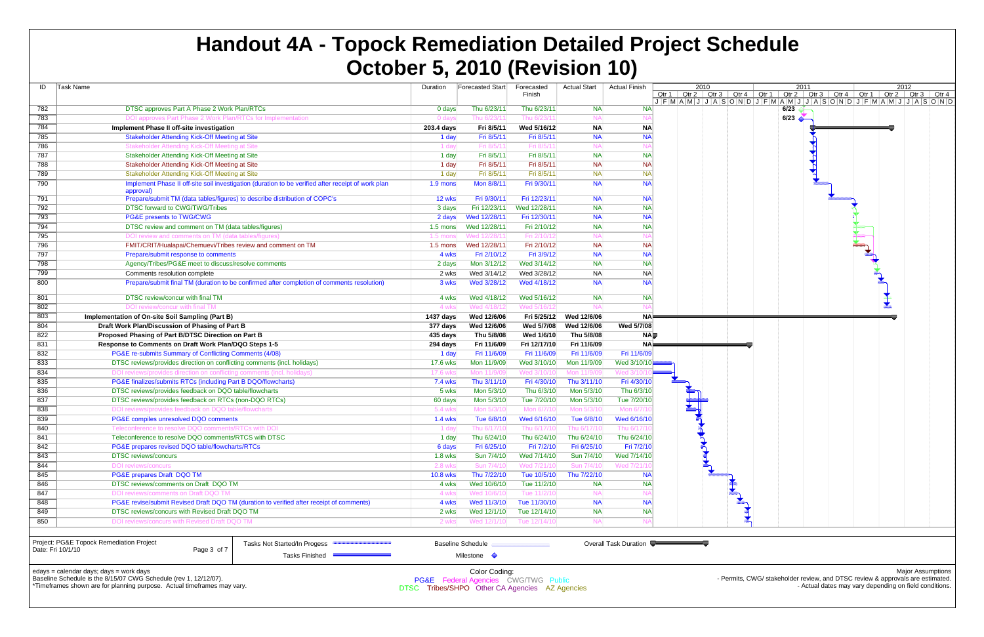| ID         | Task Name                                                                                                       | Duration        | <b>Forecasted Start</b> | Forecasted<br>Finish | <b>Actual Start</b> | <b>Actual Finish</b> | Qtr 1<br>$J$ $F$ $M$ $A$ $M$ $J$ $J$ $A$ | 2010<br>Qtr 2   Qtr 3 |   |
|------------|-----------------------------------------------------------------------------------------------------------------|-----------------|-------------------------|----------------------|---------------------|----------------------|------------------------------------------|-----------------------|---|
| 782        | DTSC approves Part A Phase 2 Work Plan/RTCs                                                                     | 0 days          | Thu 6/23/11             | Thu 6/23/11          | <b>NA</b>           | <b>NA</b>            |                                          |                       |   |
| 783        | DOI approves Part Phase 2 Work Plan/RTCs for Implementation                                                     | 0 days          | Thu 6/23/11             | Thu 6/23/1           | <b>NA</b>           |                      |                                          |                       |   |
| 784        | Implement Phase II off-site investigation                                                                       | 203.4 days      | Fri 8/5/11              | Wed 5/16/12          | <b>NA</b>           | <b>NA</b>            |                                          |                       |   |
| 785        | Stakeholder Attending Kick-Off Meeting at Site                                                                  | 1 day           | Fri 8/5/11              | Fri 8/5/11           | <b>NA</b>           | <b>NA</b>            |                                          |                       |   |
| 786        | Stakeholder Attending Kick-Off Meeting at Site                                                                  | 1 day           | Fri 8/5/11              | Fri 8/5/11           | <b>NA</b>           | N                    |                                          |                       |   |
| 787        | Stakeholder Attending Kick-Off Meeting at Site                                                                  | 1 day           | Fri 8/5/11              | Fri 8/5/11           | <b>NA</b>           | <b>NA</b>            |                                          |                       |   |
| 788        | Stakeholder Attending Kick-Off Meeting at Site                                                                  | 1 day           | Fri 8/5/11              | Fri 8/5/11           | <b>NA</b>           | <b>NA</b>            |                                          |                       |   |
| 789        | Stakeholder Attending Kick-Off Meeting at Site                                                                  | 1 day           | Fri 8/5/11              | Fri 8/5/11           | <b>NA</b>           | <b>NA</b>            |                                          |                       |   |
| 790        | Implement Phase II off-site soil investigation (duration to be verified after receipt of work plan<br>approval) | 1.9 mons        | Mon 8/8/11              | Fri 9/30/11          | <b>NA</b>           | <b>NA</b>            |                                          |                       |   |
| 791        | Prepare/submit TM (data tables/figures) to describe distribution of COPC's                                      | 12 wks          | Fri 9/30/11             | Fri 12/23/11         | <b>NA</b>           | <b>NA</b>            |                                          |                       |   |
| 792        | DTSC forward to CWG/TWG/Tribes                                                                                  | 3 days          | Fri 12/23/11            | Wed 12/28/11         | <b>NA</b>           | <b>NA</b>            |                                          |                       |   |
| 793        | PG&E presents to TWG/CWG                                                                                        | 2 days          | Wed 12/28/11            | Fri 12/30/11         | <b>NA</b>           | <b>NA</b>            |                                          |                       |   |
| 794        | DTSC review and comment on TM (data tables/figures)                                                             | $1.5$ mons      | Wed 12/28/11            | Fri 2/10/12          | <b>NA</b>           | <b>NA</b>            |                                          |                       |   |
| 795        | DOI review and comments on TM (data tables/figures)                                                             | $1.5$ mons      | Wed 12/28/11            | Fri 2/10/12          | <b>NA</b>           | N                    |                                          |                       |   |
| 796        | FMIT/CRIT/Hualapai/Chemuevi/Tribes review and comment on TM                                                     | $1.5$ mons      | Wed 12/28/11            | Fri 2/10/12          | <b>NA</b>           | <b>NA</b>            |                                          |                       |   |
| 797        | Prepare/submit response to comments                                                                             | 4 wks           | Fri 2/10/12             | Fri 3/9/12           | <b>NA</b>           | <b>NA</b>            |                                          |                       |   |
| 798        | Agency/Tribes/PG&E meet to discuss/resolve comments                                                             | 2 days          | Mon 3/12/12             | Wed 3/14/12          | <b>NA</b>           | <b>NA</b>            |                                          |                       |   |
| 799        | Comments resolution complete                                                                                    | 2 wks           | Wed 3/14/12             | Wed 3/28/12          | <b>NA</b>           | <b>NA</b>            |                                          |                       |   |
| 800        | Prepare/submit final TM (duration to be confirmed after completion of comments resolution)                      | 3 wks           | Wed 3/28/12             | Wed 4/18/12          | <b>NA</b>           | <b>NA</b>            |                                          |                       |   |
| 801        | DTSC review/concur with final TM                                                                                | 4 wks           | Wed 4/18/12             | Wed 5/16/12          | <b>NA</b>           | <b>NA</b>            |                                          |                       |   |
| 802        | DOI review/concur with final TM                                                                                 | 4 wks           | Wed 4/18/12             | Wed 5/16/12          | <b>NA</b>           | N,                   |                                          |                       |   |
| 803        | Implementation of On-site Soil Sampling (Part B)                                                                | 1437 days       | Wed 12/6/06             | Fri 5/25/12          | Wed 12/6/06         | <b>NA</b>            |                                          |                       |   |
| 804        | Draft Work Plan/Discussion of Phasing of Part B                                                                 | 377 days        | Wed 12/6/06             | Wed 5/7/08           | Wed 12/6/06         | Wed 5/7/08           |                                          |                       |   |
| 822        | Proposed Phasing of Part B/DTSC Direction on Part B                                                             | 435 days        | Thu 5/8/08              | Wed 1/6/10           | Thu 5/8/08          | NA <b>D</b>          |                                          |                       |   |
| 831        | Response to Comments on Draft Work Plan/DQO Steps 1-5                                                           | 294 days        | Fri 11/6/09             | Fri 12/17/10         | Fri 11/6/09         | <b>NA</b>            |                                          |                       |   |
| 832        | PG&E re-submits Summary of Conflicting Comments (4/08)                                                          | 1 day           | Fri 11/6/09             | Fri 11/6/09          | Fri 11/6/09         | Fri 11/6/09          |                                          |                       |   |
| 833        | DTSC reviews/provides direction on conflicting comments (incl. holidays)                                        | 17.6 wks        | Mon 11/9/09             | Wed 3/10/10          | Mon 11/9/09         | Wed 3/10/10          |                                          |                       |   |
| 834        | DOI reviews/provides direction on conflicting comments (incl. holidays)                                         | 17.6 wks        | Mon 11/9/09             | Wed 3/10/10          | Mon 11/9/09         | Wed 3/10/            |                                          |                       |   |
| 835        | PG&E finalizes/submits RTCs (including Part B DQO/flowcharts)                                                   | <b>7.4 wks</b>  | Thu 3/11/10             | Fri 4/30/10          | Thu 3/11/10         | Fri 4/30/10          |                                          |                       |   |
| 836        | DTSC reviews/provides feedback on DQO table/flowcharts                                                          | 5 wks           | Mon 5/3/10              | Thu 6/3/10           | Mon 5/3/10          | Thu 6/3/10           |                                          |                       |   |
| 837        | DTSC reviews/provides feedback on RTCs (non-DQO RTCs)                                                           | 60 days         | Mon 5/3/10              | Tue 7/20/10          | Mon 5/3/10          | Tue 7/20/10          |                                          |                       |   |
| 838        | DOI reviews/provides feedback on DQO table/flowcharts                                                           | 5.4 wks         | Mon 5/3/10              | Mon 6/7/10           | Mon 5/3/10          | Mon 6/7/1            |                                          |                       |   |
| 839        | PG&E compiles unresolved DQO comments                                                                           | <b>1.4 wks</b>  | Tue 6/8/10              | Wed 6/16/10          | Tue 6/8/10          | Wed 6/16/10          |                                          |                       |   |
| 840        | Teleconference to resolve DQO comments/RTCs with DOI                                                            | 1 day           | Thu 6/17/10             | Thu 6/17/10          | Thu 6/17/10         | Thu 6/17/1           |                                          |                       |   |
| 841        | Teleconference to resolve DQO comments/RTCS with DTSC                                                           | 1 day           | Thu 6/24/10             | Thu 6/24/10          | Thu 6/24/10         | Thu 6/24/10          |                                          |                       |   |
| 842        | PG&E prepares revised DQO table/flowcharts/RTCs                                                                 | 6 days          | Fri 6/25/10             | Fri 7/2/10           | Fri 6/25/10         | Fri 7/2/10           |                                          | ň                     |   |
| 843        | <b>DTSC</b> reviews/concurs                                                                                     | $1.8$ wks       | Sun 7/4/10              | Wed 7/14/10          | Sun 7/4/10          | Wed 7/14/10          |                                          |                       | Y |
| 844        | DOI reviews/concurs                                                                                             | 2.8 wks         | Sun 7/4/10              | Wed 7/21/10          | Sun 7/4/10          | Wed 7/21/1           |                                          |                       |   |
| 845        | PG&E prepares Draft DQO TM                                                                                      | <b>10.8 wks</b> | Thu 7/22/10             | Tue 10/5/10          | Thu 7/22/10         | <b>NA</b>            |                                          |                       |   |
| 846        | DTSC reviews/comments on Draft DQO TM                                                                           | 4 wks           | Wed 10/6/10             | Tue 11/2/10          | <b>NA</b>           | <b>NA</b>            |                                          |                       |   |
| 847        | DOI reviews/comments on Draft DQO TM                                                                            | 4 wks           | Wed 10/6/10             | Tue 11/2/10          | <b>NA</b>           | N/                   |                                          |                       |   |
| 848        | PG&E revise/submit Revised Draft DQO TM (duration to verified after receipt of comments)                        | 4 wks           | Wed 11/3/10             | Tue 11/30/10         | <b>NA</b>           | <b>NA</b>            |                                          |                       |   |
|            |                                                                                                                 | 2 wks           | Wed 12/1/10             | Tue 12/14/10         | <b>NA</b>           | <b>NA</b>            |                                          |                       |   |
| 849<br>850 | DTSC reviews/concurs with Revised Draft DQO TM<br>DOI reviews/concurs with Revised Draft DQO TM                 | 2 wks           | Wed 12/1/10             | Tue 12/14/10         | <b>NA</b>           | N                    |                                          |                       |   |



Tasks Finished

Milestone

# **Handout 4A - Topock Remediation Detailed Project Schedule October 5, 2010 (Revision 10)**

edays = calendar days; days = work days

Baseline Schedule is the 8/15/07 CWG Schedule (rev 1, 12/12/07).

\*Timeframes shown are for planning purpose. Actual timeframes may vary.

Major Assumptions - Permits, CWG/ stakeholder review, and DTSC review & approvals are estimated. - Actual dates may vary depending on field conditions.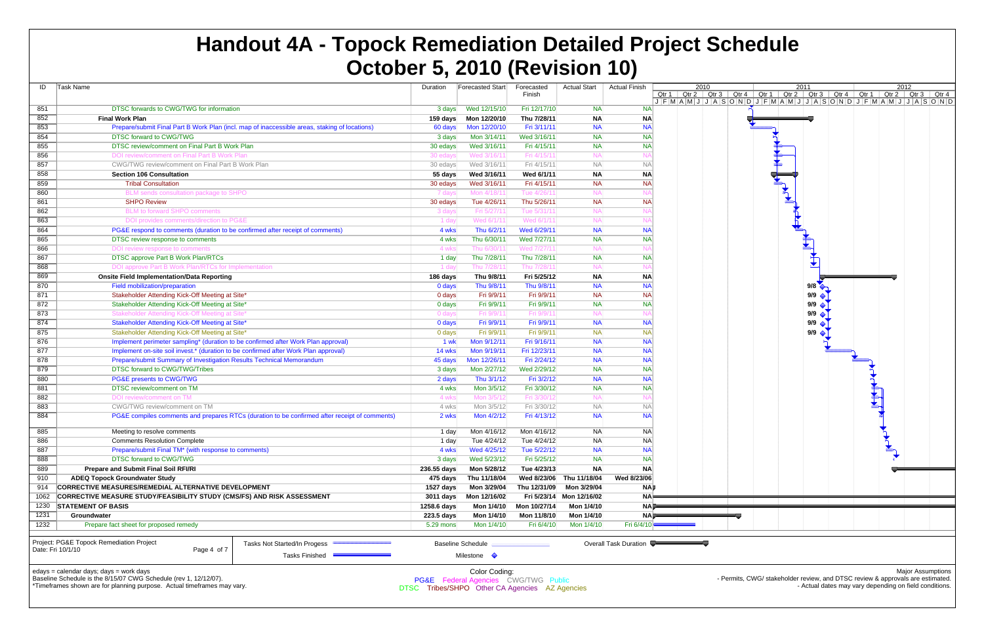| ID   | Task Name                                                                           |                                                                                               | Duration         | Forecasted Start                               | Forecasted   | <b>Actual Start</b> | <b>Actual Finish</b>  |                                          | 2010               |
|------|-------------------------------------------------------------------------------------|-----------------------------------------------------------------------------------------------|------------------|------------------------------------------------|--------------|---------------------|-----------------------|------------------------------------------|--------------------|
|      |                                                                                     |                                                                                               |                  |                                                | Finish       |                     |                       | Qtr 1<br>$J$ $F$ $M$ $A$ $M$ $J$ $J$ $A$ | Qtr 2 $\int$ Qtr 3 |
| 851  | DTSC forwards to CWG/TWG for information                                            |                                                                                               | 3 days           | Wed 12/15/10                                   | Fri 12/17/10 | <b>NA</b>           | <b>NA</b>             |                                          |                    |
| 852  | <b>Final Work Plan</b>                                                              |                                                                                               | 159 days         | Mon 12/20/10                                   | Thu 7/28/11  | <b>NA</b>           | <b>NA</b>             |                                          |                    |
| 853  |                                                                                     | Prepare/submit Final Part B Work Plan (incl. map of inaccessible areas, staking of locations) | 60 days          | Mon 12/20/10                                   | Fri 3/11/11  | <b>NA</b>           | <b>NA</b>             |                                          |                    |
| 854  | DTSC forward to CWG/TWG                                                             |                                                                                               | 3 days           | Mon 3/14/11                                    | Wed 3/16/11  | <b>NA</b>           | <b>NA</b>             |                                          |                    |
| 855  | DTSC review/comment on Final Part B Work Plan                                       |                                                                                               | 30 edays         | Wed 3/16/11                                    | Fri 4/15/11  | <b>NA</b>           | <b>NA</b>             |                                          |                    |
| 856  | DOI review/comment on Final Part B Work Plan                                        |                                                                                               | 30 edays         | Wed 3/16/11                                    | Fri 4/15/1   | <b>NA</b>           | N/                    |                                          |                    |
| 857  | CWG/TWG review/comment on Final Part B Work Plan                                    |                                                                                               | 30 edays         | Wed 3/16/11                                    | Fri 4/15/11  | <b>NA</b>           | <b>NA</b>             |                                          |                    |
| 858  | <b>Section 106 Consultation</b>                                                     |                                                                                               | 55 days          | Wed 3/16/11                                    | Wed 6/1/11   | ΝA                  | <b>NA</b>             |                                          |                    |
| 859  | <b>Tribal Consultation</b>                                                          |                                                                                               | 30 edays         | Wed 3/16/11                                    | Fri 4/15/11  | <b>NA</b>           | <b>NA</b>             |                                          |                    |
| 860  | BLM sends consultation package to SHPO                                              |                                                                                               | 7 days           | Mon 4/18/11                                    | Tue 4/26/1   | <b>NA</b>           | N/                    |                                          |                    |
| 861  | <b>SHPO Review</b>                                                                  |                                                                                               | 30 edays         | Tue 4/26/11                                    | Thu 5/26/11  | <b>NA</b>           | <b>NA</b>             |                                          |                    |
| 862  | <b>BLM</b> to forward SHPO comments                                                 |                                                                                               | 3 days           | Fri 5/27/11                                    | Tue 5/31/11  | <b>NA</b>           | N/                    |                                          |                    |
| 863  | DOI provides comments/direction to PG&E                                             |                                                                                               | 1 day            | Wed 6/1/11                                     | Wed 6/1/11   | <b>NA</b>           | N/                    |                                          |                    |
| 864  | PG&E respond to comments (duration to be confirmed after receipt of comments)       |                                                                                               | 4 wks            | Thu 6/2/11                                     | Wed 6/29/11  | <b>NA</b>           | <b>NA</b>             |                                          |                    |
| 865  | DTSC review response to comments                                                    |                                                                                               | 4 wks            | Thu 6/30/11                                    | Wed 7/27/11  | <b>NA</b>           | <b>NA</b>             |                                          |                    |
| 866  | DOI review response to comments                                                     |                                                                                               | 4 wks            | Thu 6/30/11                                    | Wed 7/27/11  | <b>NA</b>           | N                     |                                          |                    |
| 867  | DTSC approve Part B Work Plan/RTCs                                                  |                                                                                               | 1 day            | Thu 7/28/11                                    | Thu 7/28/11  | <b>NA</b>           | <b>NA</b>             |                                          |                    |
| 868  | DOI approve Part B Work Plan/RTCs for Implementation                                |                                                                                               | 1 day            | Thu 7/28/11                                    | Thu 7/28/1   | <b>NA</b>           | N                     |                                          |                    |
| 869  | <b>Onsite Field Implementation/Data Reporting</b>                                   |                                                                                               | 186 days         | Thu 9/8/11                                     | Fri 5/25/12  | ΝA                  | <b>NA</b>             |                                          |                    |
| 870  | Field mobilization/preparation                                                      |                                                                                               | 0 days           | Thu 9/8/11                                     | Thu 9/8/11   | <b>NA</b>           | <b>NA</b>             |                                          |                    |
| 871  | Stakeholder Attending Kick-Off Meeting at Site*                                     |                                                                                               | 0 days           | Fri 9/9/11                                     | Fri 9/9/11   | <b>NA</b>           | <b>NA</b>             |                                          |                    |
| 872  | Stakeholder Attending Kick-Off Meeting at Site*                                     |                                                                                               | 0 days           | Fri 9/9/11                                     | Fri 9/9/11   | <b>NA</b>           | <b>NA</b>             |                                          |                    |
| 873  | Stakeholder Attending Kick-Off Meeting at Site*                                     |                                                                                               | 0 days           | Fri 9/9/11                                     | Fri 9/9/1    | <b>NA</b>           | N,                    |                                          |                    |
| 874  | Stakeholder Attending Kick-Off Meeting at Site*                                     |                                                                                               | 0 days           | Fri 9/9/11                                     | Fri 9/9/11   | <b>NA</b>           | <b>NA</b>             |                                          |                    |
| 875  | Stakeholder Attending Kick-Off Meeting at Site*                                     |                                                                                               | 0 days           | Fri 9/9/11                                     | Fri 9/9/11   | <b>NA</b>           | <b>NA</b>             |                                          |                    |
| 876  | Implement perimeter sampling* (duration to be confirmed after Work Plan approval)   |                                                                                               | 1 wk             | Mon 9/12/11                                    | Fri 9/16/11  | <b>NA</b>           | <b>NA</b>             |                                          |                    |
| 877  | Implement on-site soil invest.* (duration to be confirmed after Work Plan approval) |                                                                                               | 14 wks           | Mon 9/19/11                                    | Fri 12/23/11 | <b>NA</b>           | <b>NA</b>             |                                          |                    |
| 878  | Prepare/submit Summary of Investigation Results Technical Memorandum                |                                                                                               | 45 days          | Mon 12/26/11                                   | Fri 2/24/12  | <b>NA</b>           | <b>NA</b>             |                                          |                    |
| 879  | DTSC forward to CWG/TWG/Tribes                                                      |                                                                                               | 3 days           | Mon 2/27/12                                    | Wed 2/29/12  | <b>NA</b>           | <b>NA</b>             |                                          |                    |
| 880  | PG&E presents to CWG/TWG                                                            |                                                                                               | 2 days           | Thu 3/1/12                                     | Fri 3/2/12   | <b>NA</b>           | <b>NA</b>             |                                          |                    |
| 881  | DTSC review/comment on TM                                                           |                                                                                               | 4 wks            | Mon 3/5/12                                     | Fri 3/30/12  | <b>NA</b>           | <b>NA</b>             |                                          |                    |
| 882  | DOI review/comment on TM                                                            |                                                                                               | 4 wks            | Mon 3/5/12                                     | Fri 3/30/1:  | <b>NA</b>           | N/                    |                                          |                    |
| 883  | CWG/TWG review/comment on TM                                                        |                                                                                               | 4 wks            | Mon 3/5/12                                     | Fri 3/30/12  | <b>NA</b>           | <b>NA</b>             |                                          |                    |
| 884  |                                                                                     | PG&E compiles comments and prepares RTCs (duration to be confirmed after receipt of comments) | 2 wks            | Mon 4/2/12                                     | Fri 4/13/12  | <b>NA</b>           | <b>NA</b>             |                                          |                    |
| 885  | Meeting to resolve comments                                                         |                                                                                               | 1 day            | Mon 4/16/12                                    | Mon 4/16/12  | <b>NA</b>           | <b>NA</b>             |                                          |                    |
| 886  | <b>Comments Resolution Complete</b>                                                 |                                                                                               | 1 day            | Tue 4/24/12                                    | Tue 4/24/12  | <b>NA</b>           | <b>NA</b>             |                                          |                    |
| 887  | Prepare/submit Final TM* (with response to comments)                                |                                                                                               | 4 wks            | Wed 4/25/12                                    | Tue 5/22/12  | <b>NA</b>           | <b>NA</b>             |                                          |                    |
| 888  | <b>DTSC forward to CWG/TWG</b>                                                      |                                                                                               | 3 days           | Wed 5/23/12                                    | Fri 5/25/12  | <b>NA</b>           | <b>NA</b>             |                                          |                    |
| 889  | <b>Prepare and Submit Final Soil RFI/RI</b>                                         |                                                                                               | 236.55 days      | Mon 5/28/12                                    | Tue 4/23/13  | ΝA                  | <b>NA</b>             |                                          |                    |
| 910  | <b>ADEQ Topock Groundwater Study</b>                                                |                                                                                               | 475 days         | Thu 11/18/04                                   | Wed 8/23/06  | Thu 11/18/04        | Wed 8/23/06           |                                          |                    |
| 914  | CORRECTIVE MEASURES/REMEDIAL ALTERNATIVE DEVELOPMENT                                |                                                                                               | <b>1527 days</b> | Mon 3/29/04                                    | Thu 12/31/09 | Mon 3/29/04         | <b>NA</b>             |                                          |                    |
| 1062 | CORRECTIVE MEASURE STUDY/FEASIBILITY STUDY (CMS/FS) AND RISK ASSESSMENT             |                                                                                               | 3011 days        | Mon 12/16/02                                   | Fri 5/23/14  | Mon 12/16/02        | <b>NA</b>             |                                          |                    |
| 1230 | <b>STATEMENT OF BASIS</b>                                                           |                                                                                               | 1258.6 days      | Mon 1/4/10                                     | Mon 10/27/14 | Mon 1/4/10          | <b>NA</b>             |                                          |                    |
| 1231 | Groundwater                                                                         |                                                                                               | 223.5 days       | Mon 1/4/10                                     | Mon 11/8/10  | Mon 1/4/10          | <b>NAI</b>            |                                          |                    |
| 1232 | Prepare fact sheet for proposed remedy                                              |                                                                                               | 5.29 mons        | Mon 1/4/10                                     | Fri 6/4/10   | Mon 1/4/10          | Fri 6/4/10            |                                          |                    |
|      | Project: PG&E Topock Remediation Project                                            | Tasks Not Started/In Progess                                                                  |                  | <b>Baseline Schedule</b>                       |              |                     | Overall Task Duration |                                          |                    |
|      | Date: Fri 10/1/10<br>Page 4 of 7                                                    |                                                                                               |                  |                                                |              |                     |                       |                                          |                    |
|      |                                                                                     | <b>Tasks Finished</b>                                                                         |                  | Milestone $\Diamond$                           |              |                     |                       |                                          |                    |
|      | $edays = calendar days$ ; $days = work days$                                        |                                                                                               |                  | Color Coding:                                  |              |                     |                       |                                          |                    |
|      | Baseline Schedule is the 8/15/07 CWG Schedule (rev 1, 12/12/07).                    |                                                                                               |                  | PG&E Federal Agencies CWG/TWG Public           |              |                     |                       |                                          |                    |
|      | *Timeframes shown are for planning purpose. Actual timeframes may vary.             |                                                                                               |                  | DTSC Tribes/SHPO Other CA Agencies AZ Agencies |              |                     |                       |                                          |                    |

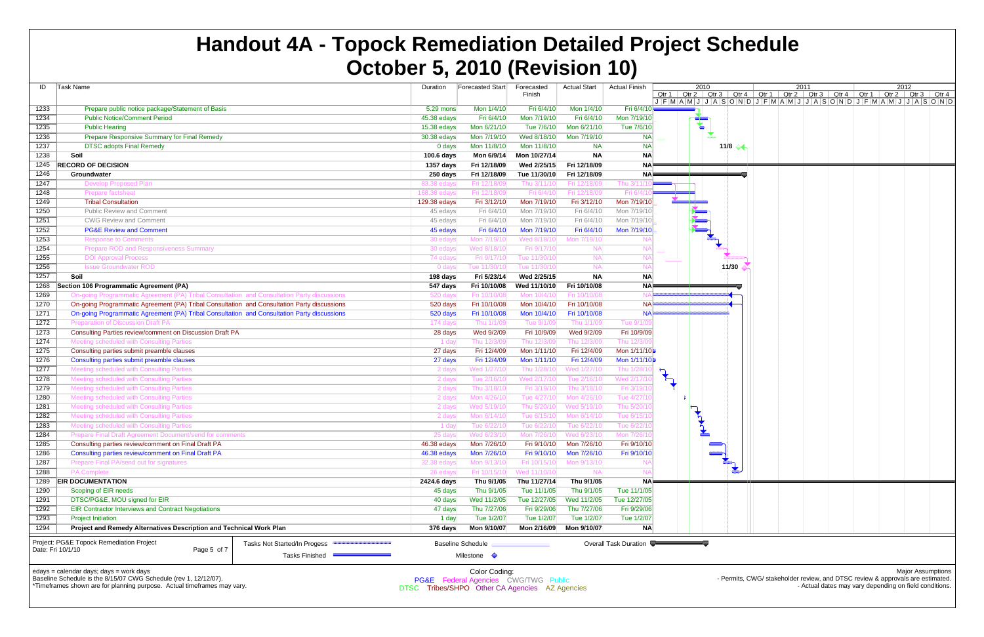| ID                | Task Name                                                                                   | Duration           | Forecasted Start         | Forecasted                  | <b>Actual Start</b>      | <b>Actual Finish</b>     | 2010 |                        | 2011 |                                                                                                                                                                                                                                                  | 2012 |                          |  |
|-------------------|---------------------------------------------------------------------------------------------|--------------------|--------------------------|-----------------------------|--------------------------|--------------------------|------|------------------------|------|--------------------------------------------------------------------------------------------------------------------------------------------------------------------------------------------------------------------------------------------------|------|--------------------------|--|
|                   |                                                                                             |                    |                          | Finish                      |                          |                          |      |                        |      | Qtr 1   Qtr 2   Qtr 3   Qtr 4   Qtr 1   Qtr 2   Qtr 3   Qtr 4   Qtr 1   Qtr 2   Qtr 3   Qtr 4<br>$J$ $F$ $M$ $A$ $M$ $J$ $J$ $A$ $S$ $O$ $N$ $D$ $J$ $F$ $M$ $A$ $M$ $J$ $J$ $A$ $S$ $O$ $N$ $D$ $J$ $F$ $M$ $A$ $M$ $J$ $J$ $A$ $S$ $O$ $N$ $D$ |      |                          |  |
| 1233              | Prepare public notice package/Statement of Basis                                            | 5.29 mons          | Mon 1/4/10               | Fri 6/4/10                  | Mon 1/4/10               | Fri 6/4/10               |      |                        |      |                                                                                                                                                                                                                                                  |      |                          |  |
| 1234              | <b>Public Notice/Comment Period</b>                                                         | 45.38 edays        | Fri 6/4/10               | Mon 7/19/10                 | Fri 6/4/10               | Mon 7/19/10              |      |                        |      |                                                                                                                                                                                                                                                  |      |                          |  |
| 1235              | <b>Public Hearing</b>                                                                       | 15.38 edays        | Mon 6/21/10              | Tue 7/6/10                  | Mon 6/21/10              | Tue 7/6/10               | Ł    |                        |      |                                                                                                                                                                                                                                                  |      |                          |  |
| 1236              | Prepare Responsive Summary for Final Remedy                                                 | 30.38 edays        | Mon 7/19/10              | Wed 8/18/10                 | Mon 7/19/10              | <b>NA</b>                | ▼    |                        |      |                                                                                                                                                                                                                                                  |      |                          |  |
| 1237              | <b>DTSC adopts Final Remedy</b>                                                             | 0 days             | Mon 11/8/10              | Mon 11/8/10                 | <b>NA</b>                | <b>NA</b>                |      | 11/8 $\leftrightarrow$ |      |                                                                                                                                                                                                                                                  |      |                          |  |
| 1238              | Soil                                                                                        | 100.6 days         | Mon 6/9/14               | Mon 10/27/14                | <b>NA</b>                | <b>NA</b>                |      |                        |      |                                                                                                                                                                                                                                                  |      |                          |  |
| 1245              | <b>RECORD OF DECISION</b>                                                                   | 1357 days          | Fri 12/18/09             | Wed 2/25/15                 | Fri 12/18/09             | <b>NA</b>                |      |                        |      |                                                                                                                                                                                                                                                  |      |                          |  |
| 1246              | Groundwater                                                                                 | 250 days           | Fri 12/18/09             | Tue 11/30/10                | Fri 12/18/09             | <b>NA</b>                |      |                        |      |                                                                                                                                                                                                                                                  |      |                          |  |
| 1247              | <b>Develop Proposed Plan</b>                                                                | 83.38 eday         | Fri 12/18/0              | Thu 3/11/                   | Fri 12/18/               | Thu 3/11                 |      |                        |      |                                                                                                                                                                                                                                                  |      |                          |  |
| 1248              | <b>Prepare factsheet</b>                                                                    | 168.38 eday        | Fri 12/18/09             | Fri 6/4/1                   | Fri 12/18/0              | Fri 6/4/                 |      |                        |      |                                                                                                                                                                                                                                                  |      |                          |  |
| 1249              | <b>Tribal Consultation</b>                                                                  | 129.38 edays       | Fri 3/12/10              | Mon 7/19/10                 | Fri 3/12/10              | Mon 7/19/10              |      |                        |      |                                                                                                                                                                                                                                                  |      |                          |  |
| 1250              | <b>Public Review and Comment</b>                                                            | 45 edays           | Fri 6/4/10               | Mon 7/19/10                 | Fri 6/4/10               | Mon 7/19/10              |      |                        |      |                                                                                                                                                                                                                                                  |      |                          |  |
| 1251              | <b>CWG Review and Comment</b>                                                               | 45 edays           | Fri 6/4/10               | Mon 7/19/10                 | Fri 6/4/10               | Mon 7/19/10              |      |                        |      |                                                                                                                                                                                                                                                  |      |                          |  |
| 1252              | <b>PG&amp;E Review and Comment</b>                                                          | 45 edays           | Fri 6/4/10               | Mon 7/19/10                 | Fri 6/4/10               | Mon 7/19/10              |      |                        |      |                                                                                                                                                                                                                                                  |      |                          |  |
| 1253              | <b>Response to Comments</b>                                                                 | 30 edays           | Mon 7/19/10              | Wed 8/18/1                  | Mon 7/19/1               |                          |      |                        |      |                                                                                                                                                                                                                                                  |      |                          |  |
| 1254              | <b>Prepare ROD and Responsiveness Summary</b>                                               | 30 edays           | Wed 8/18/10              | Fri 9/17/1                  |                          |                          |      |                        |      |                                                                                                                                                                                                                                                  |      |                          |  |
| 1255              | <b>DOI Approval Process</b>                                                                 | 74 edays           | Fri 9/17/10              | Tue 11/30/1                 | <b>NA</b>                |                          |      |                        |      |                                                                                                                                                                                                                                                  |      |                          |  |
| 1256              | <b>Issue Groundwater ROD</b>                                                                | 0 days             | Tue 11/30/10             | Tue 11/30/1                 | <b>NA</b>                |                          |      | 11/30                  |      |                                                                                                                                                                                                                                                  |      |                          |  |
| 1257              | Soil                                                                                        | 198 days           | Fri 5/23/14              | Wed 2/25/15                 | <b>NA</b>                | <b>NA</b>                |      |                        |      |                                                                                                                                                                                                                                                  |      |                          |  |
| 1268              | Section 106 Programmatic Agreement (PA)                                                     | 547 days           | Fri 10/10/08             | Wed 11/10/10                | Fri 10/10/08             | <b>NA</b>                |      |                        |      |                                                                                                                                                                                                                                                  |      |                          |  |
| 1269              | On-going Programmatic Agreement (PA) Tribal Consultation and Consultation Party discussions | 520 days           | Fri 10/10/0              | Mon 10/4/1                  | Fri 10/10/08             |                          |      |                        |      |                                                                                                                                                                                                                                                  |      |                          |  |
| 1270              | On-going Programmatic Agreement (PA) Tribal Consultation and Consultation Party discussions | 520 days           | Fri 10/10/08             | Mon 10/4/10                 | Fri 10/10/08             | <b>NA</b>                |      |                        |      |                                                                                                                                                                                                                                                  |      |                          |  |
| 1271              | On-going Programmatic Agreement (PA) Tribal Consultation and Consultation Party discussions | 520 days           | Fri 10/10/08             | Mon 10/4/10                 | Fri 10/10/08             | <b>NA</b>                |      |                        |      |                                                                                                                                                                                                                                                  |      |                          |  |
| 1272              | <b>Preparation of Discussion Draft PA</b>                                                   | 174 days           | Thu 1/1/09               | Tue 9/1/0                   | Thu 1/1/0                | <b>Tue 9/1</b>           |      |                        |      |                                                                                                                                                                                                                                                  |      |                          |  |
| 1273              | Consulting Parties review/comment on Discussion Draft PA                                    | 28 days            | Wed 9/2/09               | Fri 10/9/09                 | Wed 9/2/09               | Fri 10/9/09              |      |                        |      |                                                                                                                                                                                                                                                  |      |                          |  |
| 1274              | Meeting scheduled with Consulting Parties                                                   | 1 day              | Thu 12/3/09              | Thu 12/3/0                  | Thu 12/3/0               | Thu 12/3/                |      |                        |      |                                                                                                                                                                                                                                                  |      |                          |  |
| 1275              | Consulting parties submit preamble clauses                                                  | 27 days            | Fri 12/4/09              | Mon 1/11/10                 | Fri 12/4/09              | Mon 1/11/10              |      |                        |      |                                                                                                                                                                                                                                                  |      |                          |  |
| 1276              | Consulting parties submit preamble clauses                                                  | 27 days            | Fri 12/4/09              | Mon 1/11/10                 | Fri 12/4/09              | Mon 1/11/10              |      |                        |      |                                                                                                                                                                                                                                                  |      |                          |  |
| 1277              | Meeting scheduled with Consulting Parties                                                   | 2 days             | Wed 1/27/10              | Thu 1/28/1                  | Wed 1/27/1               | Thu 1/28/1               |      |                        |      |                                                                                                                                                                                                                                                  |      |                          |  |
| 1278              | Meeting scheduled with Consulting Parties                                                   | 2 days             | Tue 2/16/10              | Wed 2/17/1                  | Tue 2/16/1               | Wed 2/17/1               |      |                        |      |                                                                                                                                                                                                                                                  |      |                          |  |
| 1279              | <b>Meeting scheduled with Consulting Parties</b>                                            | 2 days             | Thu 3/18/10              | Fri 3/19/1                  | Thu 3/18/1               | Fri 3/19/1               |      |                        |      |                                                                                                                                                                                                                                                  |      |                          |  |
| 1280              | Meeting scheduled with Consulting Parties                                                   | 2 days             | Mon 4/26/10              | Tue 4/27/1                  | Mon 4/26/1               | Tue 4/27/                |      |                        |      |                                                                                                                                                                                                                                                  |      |                          |  |
| 1281              | Meeting scheduled with Consulting Parties                                                   | 2 days             | Wed 5/19/10              | Thu 5/20/                   | Wed 5/19/1               | Thu 5/20/                |      |                        |      |                                                                                                                                                                                                                                                  |      |                          |  |
| 1282              | Meeting scheduled with Consulting Parties                                                   | 2 days             | Mon 6/14/10              | Tue 6/15/                   | Mon 6/14/1               | Tue 6/15/                |      |                        |      |                                                                                                                                                                                                                                                  |      |                          |  |
| 1283              | Meeting scheduled with Consulting Parties                                                   | 1 day              | Tue 6/22/10              | Tue 6/22/1                  | Tue 6/22/1               | Tue 6/22/                |      |                        |      |                                                                                                                                                                                                                                                  |      |                          |  |
| 1284              | Prepare Final Draft Agreement Document/send for comment                                     |                    | Wed 6/                   | Mon'                        |                          | $M \cap n$               |      |                        |      |                                                                                                                                                                                                                                                  |      |                          |  |
| 1285              | Consulting parties review/comment on Final Draft PA                                         | 46.38 edays        | Mon 7/26/10              | Fri 9/10/10                 | Mon 7/26/10              | Fri 9/10/10              |      |                        |      |                                                                                                                                                                                                                                                  |      |                          |  |
| 1286              | Consulting parties review/comment on Final Draft PA                                         | 46.38 edays        | Mon 7/26/10              | Fri 9/10/10                 | Mon 7/26/10              | Fri 9/10/10              |      |                        |      |                                                                                                                                                                                                                                                  |      |                          |  |
| 1287              | Prepare Final PA/send out for signatures                                                    | 32.38 edays        | Mon 9/13/10              | Fri 10/15/1                 | Mon 9/13/1               |                          |      | $\blacktriangledown$   |      |                                                                                                                                                                                                                                                  |      |                          |  |
| 1288              | <b>PA Complete</b>                                                                          | 26 edays           | Fri 10/15/10             | Wed 11/10/10                |                          |                          |      |                        |      |                                                                                                                                                                                                                                                  |      |                          |  |
| 1289<br>1290      | <b>EIR DOCUMENTATION</b><br>Scoping of EIR needs                                            | 2424.6 days        | Thu 9/1/05<br>Thu 9/1/05 | Thu 11/27/14<br>Tue 11/1/05 | Thu 9/1/05<br>Thu 9/1/05 | <b>NA</b><br>Tue 11/1/05 |      |                        |      |                                                                                                                                                                                                                                                  |      |                          |  |
| 1291              | DTSC/PG&E, MOU signed for EIR                                                               | 45 days<br>40 days | Wed 11/2/05              | Tue 12/27/05                | Wed 11/2/05              | Tue 12/27/05             |      |                        |      |                                                                                                                                                                                                                                                  |      |                          |  |
| 1292              | <b>EIR Contractor Interviews and Contract Negotiations</b>                                  | 47 days            | Thu 7/27/06              | Fri 9/29/06                 | Thu 7/27/06              | Fri 9/29/06              |      |                        |      |                                                                                                                                                                                                                                                  |      |                          |  |
| 1293              | <b>Project Initiation</b>                                                                   | 1 day              | Tue 1/2/07               | Tue 1/2/07                  | Tue 1/2/07               | Tue 1/2/07               |      |                        |      |                                                                                                                                                                                                                                                  |      |                          |  |
| 1294              | Project and Remedy Alternatives Description and Technical Work Plan                         | 376 days           | Mon 9/10/07              | Mon 2/16/09                 | Mon 9/10/07              | <b>NA</b>                |      |                        |      |                                                                                                                                                                                                                                                  |      |                          |  |
|                   |                                                                                             |                    |                          |                             |                          |                          |      |                        |      |                                                                                                                                                                                                                                                  |      |                          |  |
|                   | Project: PG&E Topock Remediation Project<br>Tasks Not Started/In Progess                    |                    | <b>Baseline Schedule</b> |                             |                          | Overall Task Duration    |      |                        |      |                                                                                                                                                                                                                                                  |      |                          |  |
| Date: Fri 10/1/10 | Page 5 of 7<br>Tasks Finished =                                                             |                    | Milestone $\Diamond$     |                             |                          |                          |      |                        |      |                                                                                                                                                                                                                                                  |      |                          |  |
|                   |                                                                                             |                    |                          |                             |                          |                          |      |                        |      |                                                                                                                                                                                                                                                  |      |                          |  |
|                   | edays = calendar days; days = work days                                                     |                    | Color Coding:            |                             |                          |                          |      |                        |      |                                                                                                                                                                                                                                                  |      | <b>Major Assumptions</b> |  |

Baseline Schedule is the 8/15/07 CWG Schedule (rev 1, 12/12/07).

\*Timeframes shown are for planning purpose. Actual timeframes may vary.

- Permits, CWG/ stakeholder review, and DTSC review & approvals are estimated. - Actual dates may vary depending on field conditions.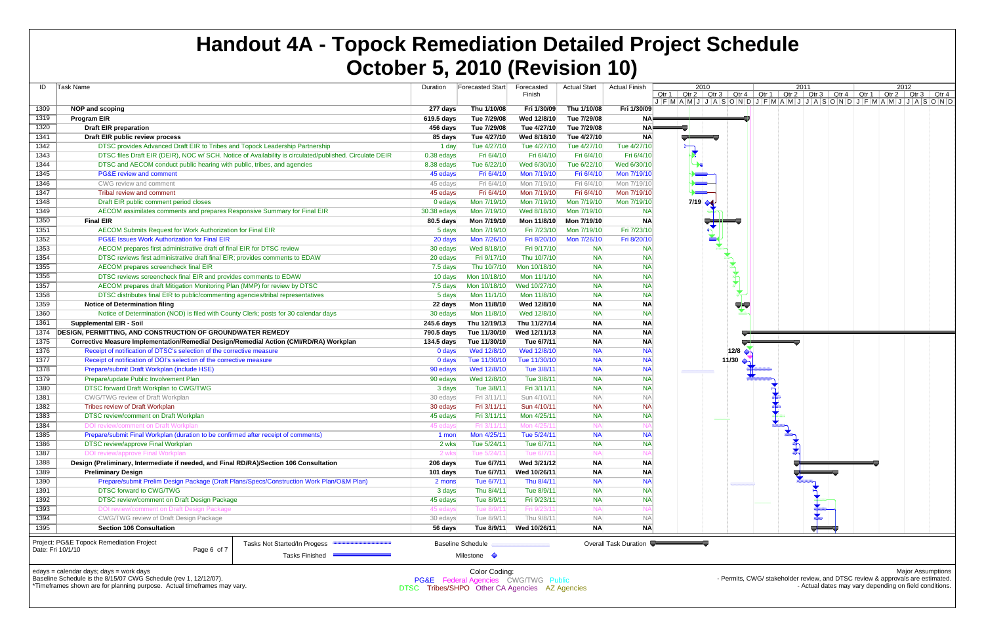| ID                | Task Name                                                                                                        | Duration     | <b>Forecasted Start</b>                                          | Forecasted<br>Finish | <b>Actual Start</b> | <b>Actual Finish</b>  | 2010<br>Qtr 2   Qtr 3<br>Qtr 1 $\parallel$ |
|-------------------|------------------------------------------------------------------------------------------------------------------|--------------|------------------------------------------------------------------|----------------------|---------------------|-----------------------|--------------------------------------------|
|                   |                                                                                                                  |              |                                                                  |                      |                     |                       | $J$ $F$ $M$ $A$ $M$ $J$ $J$ $A$            |
| 1309              | <b>NOP and scoping</b>                                                                                           | 277 days     | Thu 1/10/08                                                      | Fri 1/30/09          | Thu 1/10/08         | Fri 1/30/09           |                                            |
| 1319              | <b>Program EIR</b>                                                                                               | 619.5 days   | Tue 7/29/08                                                      | Wed 12/8/10          | Tue 7/29/08         | <b>NA</b>             |                                            |
| 1320              | <b>Draft EIR preparation</b>                                                                                     | 456 days     | Tue 7/29/08                                                      | Tue 4/27/10          | Tue 7/29/08         | <b>NA</b>             |                                            |
| 1341              | Draft EIR public review process                                                                                  | 85 days      | Tue 4/27/10                                                      | Wed 8/18/10          | Tue 4/27/10         | <b>NA</b>             | اللي                                       |
| 1342              | DTSC provides Advanced Draft EIR to Tribes and Topock Leadership Partnership                                     | 1 day        | Tue 4/27/10                                                      | Tue 4/27/10          | Tue 4/27/10         | Tue 4/27/10           |                                            |
| 1343              | DTSC files Draft EIR (DEIR), NOC w/ SCH. Notice of Availability is circulated/published. Circulate DEIR          | $0.38$ edays | Fri 6/4/10                                                       | Fri 6/4/10           | Fri 6/4/10          | Fri 6/4/10            |                                            |
| 1344              | DTSC and AECOM conduct public hearing with public, tribes, and agencies                                          | 8.38 edays   | Tue 6/22/10                                                      | Wed 6/30/10          | Tue 6/22/10         | Wed 6/30/10           |                                            |
| 1345              | <b>PG&amp;E review and comment</b>                                                                               | 45 edays     | Fri 6/4/10                                                       | Mon 7/19/10          | Fri 6/4/10          | Mon 7/19/10           |                                            |
| 1346              | CWG review and comment                                                                                           | 45 edays     | Fri 6/4/10                                                       | Mon 7/19/10          | Fri 6/4/10          | Mon 7/19/10           |                                            |
| 1347              | Tribal review and comment                                                                                        | 45 edays     | Fri 6/4/10                                                       | Mon 7/19/10          | Fri 6/4/10          | Mon 7/19/10           |                                            |
| 1348              | Draft EIR public comment period closes                                                                           | 0 edays      | Mon 7/19/10                                                      | Mon 7/19/10          | Mon 7/19/10         | Mon 7/19/10           | $7/19$ $\rightarrow$                       |
| 1349              | AECOM assimilates comments and prepares Responsive Summary for Final EIR                                         | 30.38 edays  | Mon 7/19/10                                                      | Wed 8/18/10          | Mon 7/19/10         | <b>NA</b>             |                                            |
| 1350              | <b>Final EIR</b>                                                                                                 | 80.5 days    | Mon 7/19/10                                                      | Mon 11/8/10          | Mon 7/19/10         | <b>NA</b>             |                                            |
| 1351              | AECOM Submits Request for Work Authorization for Final EIR                                                       | 5 days       | Mon 7/19/10                                                      | Fri 7/23/10          | Mon 7/19/10         | Fri 7/23/10           | $\frac{1}{2}$                              |
| 1352              | PG&E Issues Work Authorization for Final EIR                                                                     | 20 days      | Mon 7/26/10                                                      | Fri 8/20/10          | Mon 7/26/10         | Fri 8/20/10           |                                            |
| 1353              | AECOM prepares first administrative draft of final EIR for DTSC review                                           | 30 edays     | Wed 8/18/10                                                      | Fri 9/17/10          | <b>NA</b>           | <b>NA</b>             |                                            |
| 1354              | DTSC reviews first administrative draft final EIR; provides comments to EDAW                                     | 20 edays     | Fri 9/17/10                                                      | Thu 10/7/10          | <b>NA</b>           | <b>NA</b>             |                                            |
| 1355              | AECOM prepares screencheck final EIR                                                                             | 7.5 days     | Thu 10/7/10                                                      | Mon 10/18/10         | <b>NA</b>           | <b>NA</b>             |                                            |
| 1356              | DTSC reviews screencheck final EIR and provides comments to EDAW                                                 | 10 days      | Mon 10/18/10                                                     | Mon 11/1/10          | <b>NA</b>           | <b>NA</b>             |                                            |
| 1357              | AECOM prepares draft Mitigation Monitoring Plan (MMP) for review by DTSC                                         | 7.5 days     | Mon 10/18/10                                                     | Wed 10/27/10         | <b>NA</b>           | <b>NA</b>             |                                            |
| 1358              | DTSC distributes final EIR to public/commenting agencies/tribal representatives                                  | 5 days       | Mon 11/1/10                                                      | Mon 11/8/10          | <b>NA</b>           | <b>NA</b>             |                                            |
| 1359              | <b>Notice of Determination filing</b>                                                                            | 22 days      | Mon 11/8/10                                                      | Wed 12/8/10          | <b>NA</b>           | ΝA                    |                                            |
| 1360              | Notice of Determination (NOD) is filed with County Clerk; posts for 30 calendar days                             | 30 edays     | Mon 11/8/10                                                      | Wed 12/8/10          | <b>NA</b>           | <b>NA</b>             |                                            |
| 1361              | <b>Supplemental EIR - Soil</b>                                                                                   | 245.6 days   | Thu 12/19/13                                                     | Thu 11/27/14         | <b>NA</b>           | ΝA                    |                                            |
| 1374              | <b>DESIGN, PERMITTING, AND CONSTRUCTION OF GROUNDWATER REMEDY</b>                                                | 790.5 days   | Tue 11/30/10                                                     | Wed 12/11/13         | <b>NA</b>           | <b>NA</b>             |                                            |
| 1375              | Corrective Measure Implementation/Remedial Design/Remedial Action (CMI/RD/RA) Workplan                           | 134.5 days   | Tue 11/30/10                                                     | Tue 6/7/11           | <b>NA</b>           | ΝA                    |                                            |
| 1376              | Receipt of notification of DTSC's selection of the corrective measure                                            | 0 days       | Wed 12/8/10                                                      | Wed 12/8/10          | <b>NA</b>           | <b>NA</b>             |                                            |
| 1377              | Receipt of notification of DOI's selection of the corrective measure                                             | 0 days       | Tue 11/30/10                                                     | Tue 11/30/10         | <b>NA</b>           | <b>NA</b>             |                                            |
| 1378              | Prepare/submit Draft Workplan (include HSE)                                                                      | 90 edays     | Wed 12/8/10                                                      | Tue 3/8/11           | <b>NA</b>           | <b>NA</b>             |                                            |
| 1379              | Prepare/update Public Involvement Plan                                                                           | 90 edays     | Wed 12/8/10                                                      | Tue 3/8/11           | <b>NA</b>           | <b>NA</b>             |                                            |
| 1380              | DTSC forward Draft Workplan to CWG/TWG                                                                           | 3 days       | Tue 3/8/11                                                       | Fri 3/11/11          | <b>NA</b>           | <b>NA</b>             |                                            |
| 1381              | CWG/TWG review of Draft Workplan                                                                                 | 30 edays     | Fri 3/11/11                                                      | Sun 4/10/11          | <b>NA</b>           | <b>NA</b>             |                                            |
| 1382              | Tribes review of Draft Workplan                                                                                  | 30 edays     | Fri 3/11/11                                                      | Sun 4/10/11          | <b>NA</b>           | <b>NA</b>             |                                            |
| 1383              | DTSC review/comment on Draft Workplan                                                                            | 45 edays     | Fri 3/11/11                                                      | Mon 4/25/11          | <b>NA</b>           | <b>NA</b>             |                                            |
| 1384              | DOI review/comment on Draft Workplan                                                                             | 45 edays     | Fri 3/11/11                                                      | Mon 4/25/11          | <b>NA</b>           | N                     |                                            |
| 1385              | Prepare/submit Final Workplan (duration to be confirmed after receipt of comments)                               | 1 mon        | Mon 4/25/11                                                      | Tue 5/24/11          | <b>NA</b>           | <b>NA</b>             |                                            |
| 1386              | DTSC review/approve Final Workplan                                                                               | 2 wks        | Tue 5/24/11                                                      | Tue 6/7/11           | <b>NA</b>           | <b>NA</b>             |                                            |
| 1387              | <b>DOI review/approve Final Workplan</b>                                                                         | 2 wks        | Tue 5/24/11                                                      | Tue 6/7/11           | <b>NA</b>           | N                     |                                            |
| 1388              | Design (Preliminary, Intermediate if needed, and Final RD/RA)/Section 106 Consultation                           | 206 days     | Tue 6/7/11                                                       | Wed 3/21/12          | <b>NA</b>           | <b>NA</b>             |                                            |
| 1389              | <b>Preliminary Design</b>                                                                                        | 101 days     | Tue 6/7/11                                                       | Wed 10/26/11         | <b>NA</b>           | <b>NA</b>             |                                            |
| 1390              | Prepare/submit Prelim Design Package (Draft Plans/Specs/Construction Work Plan/O&M Plan)                         | 2 mons       | Tue 6/7/11                                                       | Thu 8/4/11           | <b>NA</b>           | <b>NA</b>             |                                            |
| 1391              | DTSC forward to CWG/TWG                                                                                          | 3 days       | Thu 8/4/11                                                       | Tue 8/9/11           | <b>NA</b>           | ΝA                    |                                            |
| 1392              | DTSC review/comment on Draft Design Package                                                                      | 45 edays     | Tue 8/9/11                                                       | Fri 9/23/11          | <b>NA</b>           | <b>NA</b>             |                                            |
| 1393              | DOI review/comment on Draft Design Package                                                                       | 45 edays     | Tue 8/9/11                                                       | Fri 9/23/11          | <b>NA</b>           | N/                    |                                            |
| 1394              | CWG/TWG review of Draft Design Package                                                                           | 30 edays     | Tue 8/9/11                                                       | Thu 9/8/11           | <b>NA</b>           | <b>NA</b>             |                                            |
| 1395              | <b>Section 106 Consultation</b>                                                                                  | 56 days      | Tue 8/9/11                                                       | Wed 10/26/11         | <b>NA</b>           | NA                    |                                            |
| Date: Fri 10/1/10 | Project: PG&E Topock Remediation Project<br>Tasks Not Started/In Progess<br>Page 6 of 7<br><b>Tasks Finished</b> |              | <b>Baseline Schedule</b><br>Milestone $\Diamond$                 |                      |                     | Overall Task Duration |                                            |
|                   | edays = calendar days; days = work days<br>Baseline Schedule is the 8/15/07 CWG Schedule (rev 1, 12/12/07).      |              | Color Coding:<br><b>PG&amp;E</b> Federal Agencies CWG/TWG Public |                      |                     |                       |                                            |



\*Timeframes shown are for planning purpose. Actual timeframes may vary.

PG&EE Federal Agencies CWG/TWG Public DTSC Tribes/SHPO Other CA Agencies AZ Agencies

Major Assumptions Permits, CWG/ stakeholder review, and DTSC review & approvals are estimated. - Actual dates may vary depending on field conditions.